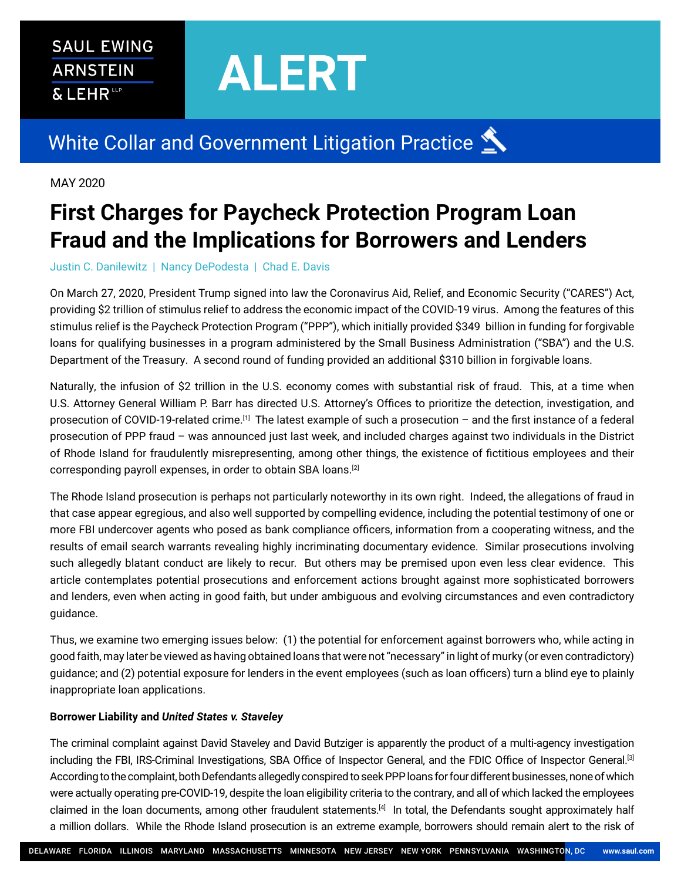## **SAUL EWING ARNSTEIN** & LEHRLP

# **ALERT**

# White Collar and Government Litigation Practice

## MAY 2020

# **First Charges for Paycheck Protection Program Loan Fraud and the Implications for Borrowers and Lenders**

#### Justin C. Danilewitz | Nancy DePodesta | Chad E. Davis

On March 27, 2020, President Trump signed into law the Coronavirus Aid, Relief, and Economic Security ("CARES") Act, providing \$2 trillion of stimulus relief to address the economic impact of the COVID-19 virus. Among the features of this stimulus relief is the Paycheck Protection Program ("PPP"), which initially provided \$349 billion in funding for forgivable loans for qualifying businesses in a program administered by the Small Business Administration ("SBA") and the U.S. Department of the Treasury. A second round of funding provided an additional \$310 billion in forgivable loans.

Naturally, the infusion of \$2 trillion in the U.S. economy comes with substantial risk of fraud. This, at a time when U.S. Attorney General William P. Barr has directed U.S. Attorney's Offices to prioritize the detection, investigation, and prosecution of COVID-19-related crime.[1] The latest example of such a prosecution – and the first instance of a federal prosecution of PPP fraud – was announced just last week, and included charges against two individuals in the District of Rhode Island for fraudulently misrepresenting, among other things, the existence of fictitious employees and their corresponding payroll expenses, in order to obtain SBA loans.<sup>[2]</sup>

The Rhode Island prosecution is perhaps not particularly noteworthy in its own right. Indeed, the allegations of fraud in that case appear egregious, and also well supported by compelling evidence, including the potential testimony of one or more FBI undercover agents who posed as bank compliance officers, information from a cooperating witness, and the results of email search warrants revealing highly incriminating documentary evidence. Similar prosecutions involving such allegedly blatant conduct are likely to recur. But others may be premised upon even less clear evidence. This article contemplates potential prosecutions and enforcement actions brought against more sophisticated borrowers and lenders, even when acting in good faith, but under ambiguous and evolving circumstances and even contradictory guidance.

Thus, we examine two emerging issues below: (1) the potential for enforcement against borrowers who, while acting in good faith, may later be viewed as having obtained loans that were not "necessary" in light of murky (or even contradictory) guidance; and (2) potential exposure for lenders in the event employees (such as loan officers) turn a blind eye to plainly inappropriate loan applications.

#### **Borrower Liability and** *United States v. Staveley*

The criminal complaint against David Staveley and David Butziger is apparently the product of a multi-agency investigation including the FBI, IRS-Criminal Investigations, SBA Office of Inspector General, and the FDIC Office of Inspector General.[3] According to the complaint, both Defendants allegedly conspired to seek PPP loans for four different businesses, none of which were actually operating pre-COVID-19, despite the loan eligibility criteria to the contrary, and all of which lacked the employees claimed in the loan documents, among other fraudulent statements.<sup>[4]</sup> In total, the Defendants sought approximately half a million dollars. While the Rhode Island prosecution is an extreme example, borrowers should remain alert to the risk of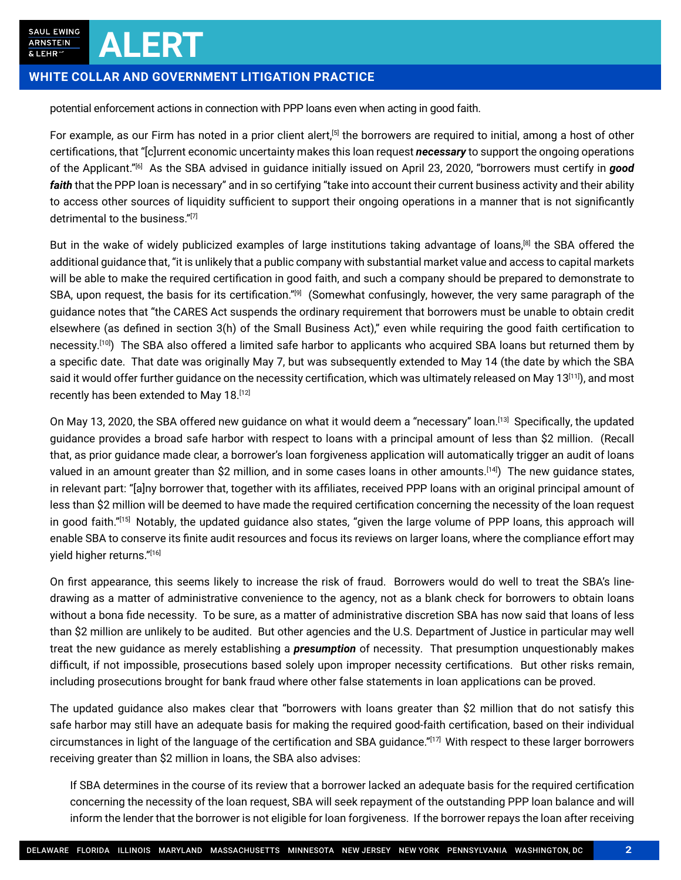SAUL EWING **ARNSTEIN** & LEHR'

#### **WHITE COLLAR AND GOVERNMENT LITIGATION PRACTICE**

**ALERT**

potential enforcement actions in connection with PPP loans even when acting in good faith.

For example, as our Firm has noted in a prior client alert,<sup>[5]</sup> the borrowers are required to initial, among a host of other certifications, that "[c]urrent economic uncertainty makes this loan request *necessary* to support the ongoing operations of the Applicant."[6] As the SBA advised in guidance initially issued on April 23, 2020, "borrowers must certify in *good faith* that the PPP loan is necessary" and in so certifying "take into account their current business activity and their ability to access other sources of liquidity sufficient to support their ongoing operations in a manner that is not significantly detrimental to the business."[7]

But in the wake of widely publicized examples of large institutions taking advantage of loans,<sup>[8]</sup> the SBA offered the additional guidance that, "it is unlikely that a public company with substantial market value and access to capital markets will be able to make the required certification in good faith, and such a company should be prepared to demonstrate to SBA, upon request, the basis for its certification."<sup>[9]</sup> (Somewhat confusingly, however, the very same paragraph of the guidance notes that "the CARES Act suspends the ordinary requirement that borrowers must be unable to obtain credit elsewhere (as defined in section 3(h) of the Small Business Act)," even while requiring the good faith certification to necessity.[10]) The SBA also offered a limited safe harbor to applicants who acquired SBA loans but returned them by a specific date. That date was originally May 7, but was subsequently extended to May 14 (the date by which the SBA said it would offer further guidance on the necessity certification, which was ultimately released on May 13<sup>[11]</sup>), and most recently has been extended to May 18.[12]

On May 13, 2020, the SBA offered new guidance on what it would deem a "necessary" loan.<sup>[13]</sup> Specifically, the updated guidance provides a broad safe harbor with respect to loans with a principal amount of less than \$2 million. (Recall that, as prior guidance made clear, a borrower's loan forgiveness application will automatically trigger an audit of loans valued in an amount greater than \$2 million, and in some cases loans in other amounts.<sup>[14]</sup>) The new quidance states. in relevant part: "[a]ny borrower that, together with its affiliates, received PPP loans with an original principal amount of less than \$2 million will be deemed to have made the required certification concerning the necessity of the loan request in good faith."[15] Notably, the updated guidance also states, "given the large volume of PPP loans, this approach will enable SBA to conserve its finite audit resources and focus its reviews on larger loans, where the compliance effort may yield higher returns."[16]

On first appearance, this seems likely to increase the risk of fraud. Borrowers would do well to treat the SBA's linedrawing as a matter of administrative convenience to the agency, not as a blank check for borrowers to obtain loans without a bona fide necessity. To be sure, as a matter of administrative discretion SBA has now said that loans of less than \$2 million are unlikely to be audited. But other agencies and the U.S. Department of Justice in particular may well treat the new guidance as merely establishing a *presumption* of necessity. That presumption unquestionably makes difficult, if not impossible, prosecutions based solely upon improper necessity certifications. But other risks remain, including prosecutions brought for bank fraud where other false statements in loan applications can be proved.

The updated guidance also makes clear that "borrowers with loans greater than \$2 million that do not satisfy this safe harbor may still have an adequate basis for making the required good-faith certification, based on their individual circumstances in light of the language of the certification and SBA guidance." $[17]$  With respect to these larger borrowers receiving greater than \$2 million in loans, the SBA also advises:

If SBA determines in the course of its review that a borrower lacked an adequate basis for the required certification concerning the necessity of the loan request, SBA will seek repayment of the outstanding PPP loan balance and will inform the lender that the borrower is not eligible for loan forgiveness. If the borrower repays the loan after receiving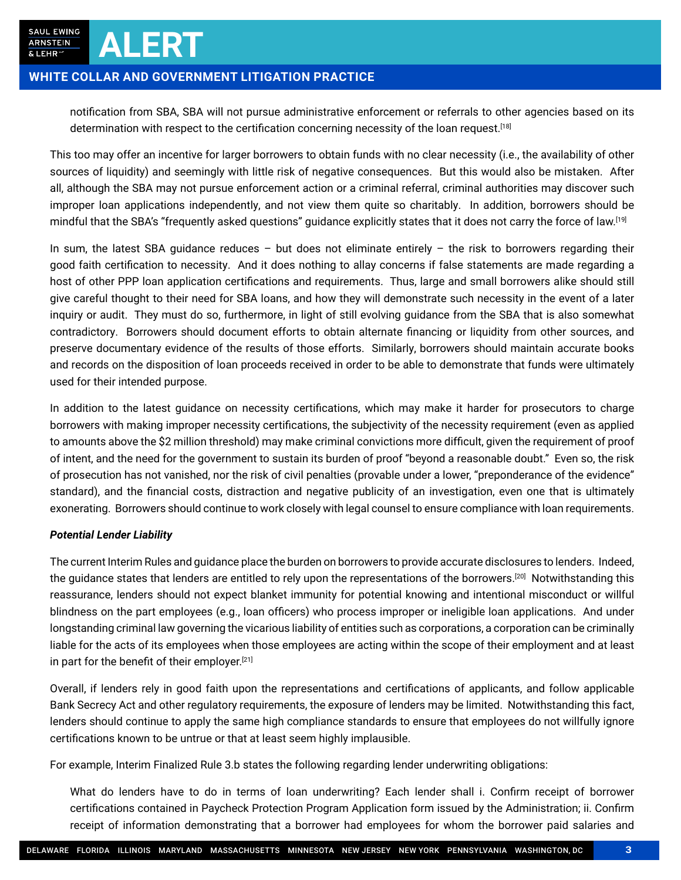### **WHITE COLLAR AND GOVERNMENT LITIGATION PRACTICE**

**ALERT**

notification from SBA, SBA will not pursue administrative enforcement or referrals to other agencies based on its determination with respect to the certification concerning necessity of the loan request.<sup>[18]</sup>

This too may offer an incentive for larger borrowers to obtain funds with no clear necessity (i.e., the availability of other sources of liquidity) and seemingly with little risk of negative consequences. But this would also be mistaken. After all, although the SBA may not pursue enforcement action or a criminal referral, criminal authorities may discover such improper loan applications independently, and not view them quite so charitably. In addition, borrowers should be mindful that the SBA's "frequently asked questions" guidance explicitly states that it does not carry the force of law.[19]

In sum, the latest SBA guidance reduces  $-$  but does not eliminate entirely  $-$  the risk to borrowers regarding their good faith certification to necessity. And it does nothing to allay concerns if false statements are made regarding a host of other PPP loan application certifications and requirements. Thus, large and small borrowers alike should still give careful thought to their need for SBA loans, and how they will demonstrate such necessity in the event of a later inquiry or audit. They must do so, furthermore, in light of still evolving guidance from the SBA that is also somewhat contradictory. Borrowers should document efforts to obtain alternate financing or liquidity from other sources, and preserve documentary evidence of the results of those efforts. Similarly, borrowers should maintain accurate books and records on the disposition of loan proceeds received in order to be able to demonstrate that funds were ultimately used for their intended purpose.

In addition to the latest guidance on necessity certifications, which may make it harder for prosecutors to charge borrowers with making improper necessity certifications, the subjectivity of the necessity requirement (even as applied to amounts above the \$2 million threshold) may make criminal convictions more difficult, given the requirement of proof of intent, and the need for the government to sustain its burden of proof "beyond a reasonable doubt." Even so, the risk of prosecution has not vanished, nor the risk of civil penalties (provable under a lower, "preponderance of the evidence" standard), and the financial costs, distraction and negative publicity of an investigation, even one that is ultimately exonerating. Borrowers should continue to work closely with legal counsel to ensure compliance with loan requirements.

#### *Potential Lender Liability*

The current Interim Rules and guidance place the burden on borrowers to provide accurate disclosures to lenders. Indeed, the guidance states that lenders are entitled to rely upon the representations of the borrowers.<sup>[20]</sup> Notwithstanding this reassurance, lenders should not expect blanket immunity for potential knowing and intentional misconduct or willful blindness on the part employees (e.g., loan officers) who process improper or ineligible loan applications. And under longstanding criminal law governing the vicarious liability of entities such as corporations, a corporation can be criminally liable for the acts of its employees when those employees are acting within the scope of their employment and at least in part for the benefit of their employer.<sup>[21]</sup>

Overall, if lenders rely in good faith upon the representations and certifications of applicants, and follow applicable Bank Secrecy Act and other regulatory requirements, the exposure of lenders may be limited. Notwithstanding this fact, lenders should continue to apply the same high compliance standards to ensure that employees do not willfully ignore certifications known to be untrue or that at least seem highly implausible.

For example, Interim Finalized Rule 3.b states the following regarding lender underwriting obligations:

What do lenders have to do in terms of loan underwriting? Each lender shall i. Confirm receipt of borrower certifications contained in Paycheck Protection Program Application form issued by the Administration; ii. Confirm receipt of information demonstrating that a borrower had employees for whom the borrower paid salaries and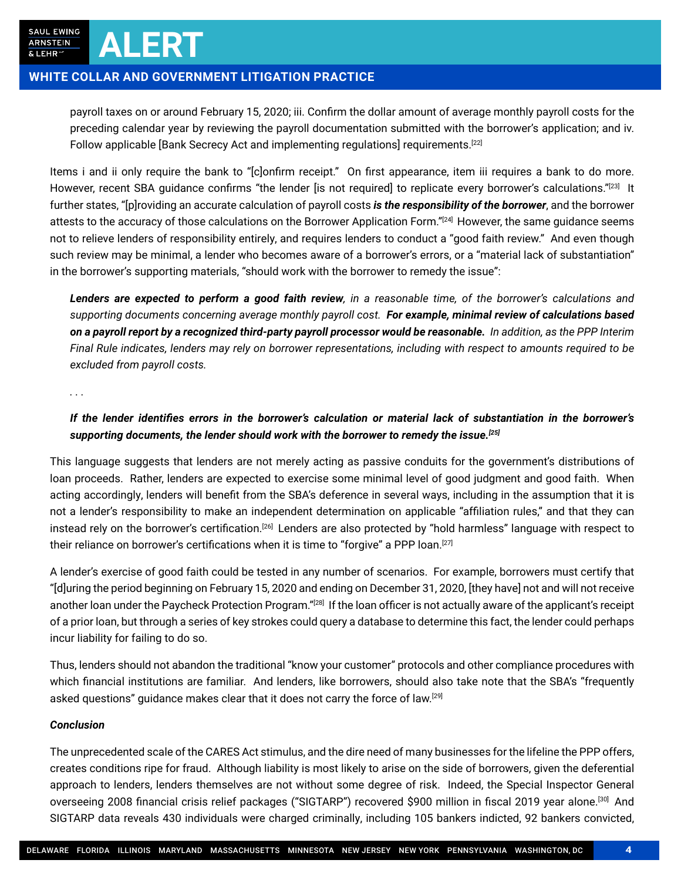#### **WHITE COLLAR AND GOVERNMENT LITIGATION PRACTICE**

**ALERT**

payroll taxes on or around February 15, 2020; iii. Confirm the dollar amount of average monthly payroll costs for the preceding calendar year by reviewing the payroll documentation submitted with the borrower's application; and iv. Follow applicable [Bank Secrecy Act and implementing regulations] requirements.<sup>[22]</sup>

Items i and ii only require the bank to "[c]onfirm receipt." On first appearance, item iii requires a bank to do more. However, recent SBA guidance confirms "the lender [is not required] to replicate every borrower's calculations."[23] It further states, "[p]roviding an accurate calculation of payroll costs *is the responsibility of the borrower*, and the borrower attests to the accuracy of those calculations on the Borrower Application Form."[24] However, the same quidance seems not to relieve lenders of responsibility entirely, and requires lenders to conduct a "good faith review." And even though such review may be minimal, a lender who becomes aware of a borrower's errors, or a "material lack of substantiation" in the borrower's supporting materials, "should work with the borrower to remedy the issue":

*Lenders are expected to perform a good faith review, in a reasonable time, of the borrower's calculations and supporting documents concerning average monthly payroll cost. For example, minimal review of calculations based on a payroll report by a recognized third-party payroll processor would be reasonable. In addition, as the PPP Interim Final Rule indicates, lenders may rely on borrower representations, including with respect to amounts required to be excluded from payroll costs.*

*. . .*

#### *If the lender identifies errors in the borrower's calculation or material lack of substantiation in the borrower's supporting documents, the lender should work with the borrower to remedy the issue.[25]*

This language suggests that lenders are not merely acting as passive conduits for the government's distributions of loan proceeds. Rather, lenders are expected to exercise some minimal level of good judgment and good faith. When acting accordingly, lenders will benefit from the SBA's deference in several ways, including in the assumption that it is not a lender's responsibility to make an independent determination on applicable "affiliation rules," and that they can instead rely on the borrower's certification.<sup>[26]</sup> Lenders are also protected by "hold harmless" language with respect to their reliance on borrower's certifications when it is time to "forgive" a PPP loan.<sup>[27]</sup>

A lender's exercise of good faith could be tested in any number of scenarios. For example, borrowers must certify that "[d]uring the period beginning on February 15, 2020 and ending on December 31, 2020, [they have] not and will not receive another loan under the Paycheck Protection Program."[28] If the loan officer is not actually aware of the applicant's receipt of a prior loan, but through a series of key strokes could query a database to determine this fact, the lender could perhaps incur liability for failing to do so.

Thus, lenders should not abandon the traditional "know your customer" protocols and other compliance procedures with which financial institutions are familiar. And lenders, like borrowers, should also take note that the SBA's "frequently asked questions" quidance makes clear that it does not carry the force of law.<sup>[29]</sup>

#### *Conclusion*

The unprecedented scale of the CARES Act stimulus, and the dire need of many businesses for the lifeline the PPP offers, creates conditions ripe for fraud. Although liability is most likely to arise on the side of borrowers, given the deferential approach to lenders, lenders themselves are not without some degree of risk. Indeed, the Special Inspector General overseeing 2008 financial crisis relief packages ("SIGTARP") recovered \$900 million in fiscal 2019 year alone.<sup>[30]</sup> And SIGTARP data reveals 430 individuals were charged criminally, including 105 bankers indicted, 92 bankers convicted,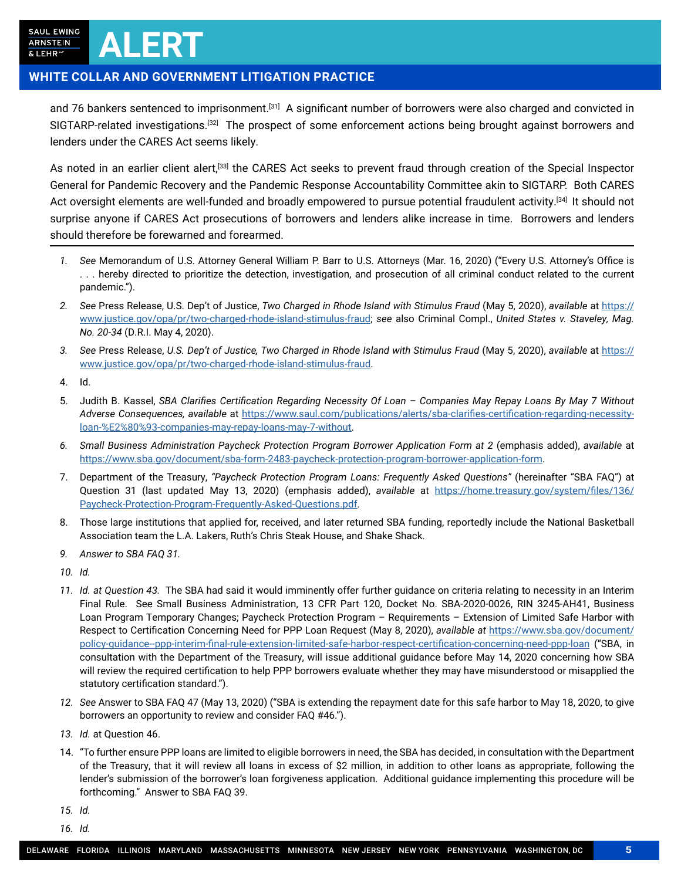SAUL EWING **ARNSTEIN** & LEHR

## **WHITE COLLAR AND GOVERNMENT LITIGATION PRACTICE**

**ALERT**

and 76 bankers sentenced to imprisonment.[31] A significant number of borrowers were also charged and convicted in SIGTARP-related investigations.<sup>[32]</sup> The prospect of some enforcement actions being brought against borrowers and lenders under the CARES Act seems likely.

As noted in an earlier client alert,<sup>[33]</sup> the CARES Act seeks to prevent fraud through creation of the Special Inspector General for Pandemic Recovery and the Pandemic Response Accountability Committee akin to SIGTARP. Both CARES Act oversight elements are well-funded and broadly empowered to pursue potential fraudulent activity.<sup>[34]</sup> It should not surprise anyone if CARES Act prosecutions of borrowers and lenders alike increase in time. Borrowers and lenders should therefore be forewarned and forearmed.

- *1. See* Memorandum of U.S. Attorney General William P. Barr to U.S. Attorneys (Mar. 16, 2020) ("Every U.S. Attorney's Office is . . . hereby directed to prioritize the detection, investigation, and prosecution of all criminal conduct related to the current pandemic.").
- *2. See* Press Release, U.S. Dep't of Justice, *Two Charged in Rhode Island with Stimulus Fraud* (May 5, 2020), *available* at [https://](https://www.justice.gov/opa/pr/two-charged-rhode-island-stimulus-fraud) [www.justice.gov/opa/pr/two-charged-rhode-island-stimulus-fraud](https://www.justice.gov/opa/pr/two-charged-rhode-island-stimulus-fraud); *see* also Criminal Compl., *United States v. Staveley, Mag. No. 20-34* (D.R.I. May 4, 2020).
- *3. See* Press Release, *U.S. Dep't of Justice, Two Charged in Rhode Island with Stimulus Fraud* (May 5, 2020), *available* at [https://](https://www.justice.gov/opa/pr/two-charged-rhode-island-stimulus-fraud) [www.justice.gov/opa/pr/two-charged-rhode-island-stimulus-fraud](https://www.justice.gov/opa/pr/two-charged-rhode-island-stimulus-fraud).
- 4. Id.
- 5. Judith B. Kassel, *SBA Clarifies Certification Regarding Necessity Of Loan Companies May Repay Loans By May 7 Without Adverse Consequences, available* at [https://www.saul.com/publications/alerts/sba-clarifies-certification-regarding-necessity](https://www.saul.com/publications/alerts/sba-clarifies-certification-regarding-necessity-loan-%E2%80%93-companies-may-repay-loans-may-7-without)[loan-%E2%80%93-companies-may-repay-loans-may-7-without](https://www.saul.com/publications/alerts/sba-clarifies-certification-regarding-necessity-loan-%E2%80%93-companies-may-repay-loans-may-7-without).
- *6. Small Business Administration Paycheck Protection Program Borrower Application Form at 2* (emphasis added), *available* at [https://www.sba.gov/document/sba-form-2483-paycheck-protection-program-borrower-application-form.](https://www.sba.gov/document/sba-form-2483-paycheck-protection-program-borrower-application-form)
- 7. Department of the Treasury, *"Paycheck Protection Program Loans: Frequently Asked Questions"* (hereinafter "SBA FAQ") at Question 31 (last updated May 13, 2020) (emphasis added), *available* at [https://home.treasury.gov/system/files/136/](https://home.treasury.gov/system/files/136/Paycheck-Protection-Program-Frequently-Asked-Questions.pdf) [Paycheck-Protection-Program-Frequently-Asked-Questions.pdf](https://home.treasury.gov/system/files/136/Paycheck-Protection-Program-Frequently-Asked-Questions.pdf).
- 8. Those large institutions that applied for, received, and later returned SBA funding, reportedly include the National Basketball Association team the L.A. Lakers, Ruth's Chris Steak House, and Shake Shack.
- *9. Answer to SBA FAQ 31.*
- *10. Id.*
- *11. Id. at Question 43.* The SBA had said it would imminently offer further guidance on criteria relating to necessity in an Interim Final Rule. See Small Business Administration, 13 CFR Part 120, Docket No. SBA-2020-0026, RIN 3245-AH41, Business Loan Program Temporary Changes; Paycheck Protection Program – Requirements – Extension of Limited Safe Harbor with Respect to Certification Concerning Need for PPP Loan Request (May 8, 2020), *available at* [https://www.sba.gov/document/](https://www.sba.gov/document/policy-guidance--ppp-interim-final-rule-extension-limited-safe-harbor-respect-certification-concerning-need-ppp-loan) [policy-guidance--ppp-interim-final-rule-extension-limited-safe-harbor-respect-certification-concerning-need-ppp-loan](https://www.sba.gov/document/policy-guidance--ppp-interim-final-rule-extension-limited-safe-harbor-respect-certification-concerning-need-ppp-loan) ("SBA, in consultation with the Department of the Treasury, will issue additional guidance before May 14, 2020 concerning how SBA will review the required certification to help PPP borrowers evaluate whether they may have misunderstood or misapplied the statutory certification standard.").
- *12. See* Answer to SBA FAQ 47 (May 13, 2020) ("SBA is extending the repayment date for this safe harbor to May 18, 2020, to give borrowers an opportunity to review and consider FAQ #46.").
- *13. Id.* at Question 46.
- 14. "To further ensure PPP loans are limited to eligible borrowers in need, the SBA has decided, in consultation with the Department of the Treasury, that it will review all loans in excess of \$2 million, in addition to other loans as appropriate, following the lender's submission of the borrower's loan forgiveness application. Additional guidance implementing this procedure will be forthcoming." Answer to SBA FAQ 39.
- *15. Id.*
- *16. Id.*